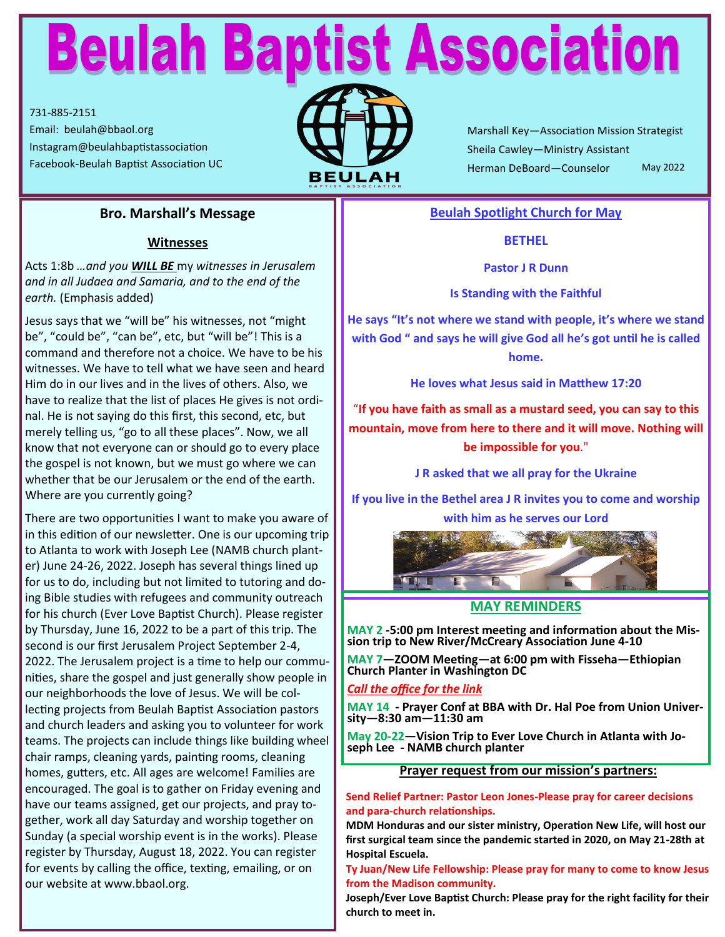# **Beulah Baptist Association**

731-885-2151 Email: beulah@bbaol.org Instagram@beulahbaptistassociation



Marshall Key—Association Mission Strategist Sheila Cawley—Ministry Assistant Herman DeBoard—Counselor Facebook-Beulah Baptist Association UC **ALCOM**<br>**BEULAH** Herman DeBoard—Counselor May 2022

### **Bro. Marshall's Message**

#### **Witnesses**

Acts 1:8b *…and you WILL BE* my *witnesses in Jerusalem and in all Judaea and Samaria, and to the end of the earth.* (Emphasis added)

Jesus says that we "will be" his witnesses, not "might be", "could be", "can be", etc, but "will be"! This is a command and therefore not a choice. We have to be his witnesses. We have to tell what we have seen and heard Him do in our lives and in the lives of others. Also, we have to realize that the list of places He gives is not ordinal. He is not saying do this first, this second, etc, but merely telling us, "go to all these places". Now, we all know that not everyone can or should go to every place the gospel is not known, but we must go where we can whether that be our Jerusalem or the end of the earth. Where are you currently going?

There are two opportunities I want to make you aware of in this edition of our newsletter. One is our upcoming trip to Atlanta to work with Joseph Lee (NAMB church planter) June 24-26, 2022. Joseph has several things lined up for us to do, including but not limited to tutoring and doing Bible studies with refugees and community outreach for his church (Ever Love Baptist Church). Please register by Thursday, June 16, 2022 to be a part of this trip. The second is our first Jerusalem Project September 2-4, 2022. The Jerusalem project is a time to help our communities, share the gospel and just generally show people in our neighborhoods the love of Jesus. We will be collecting projects from Beulah Baptist Association pastors and church leaders and asking you to volunteer for work teams. The projects can include things like building wheel chair ramps, cleaning yards, painting rooms, cleaning homes, gutters, etc. All ages are welcome! Families are encouraged. The goal is to gather on Friday evening and have our teams assigned, get our projects, and pray together, work all day Saturday and worship together on Sunday (a special worship event is in the works). Please register by Thursday, August 18, 2022. You can register for events by calling the office, texting, emailing, or on our website at www.bbaol.org.

#### **Beulah Spotlight Church for May**

#### **BETHEL**

**Pastor J R Dunn**

#### **Is Standing with the Faithful**

**He says "It's not where we stand with people, it's where we stand with God " and says he will give God all he's got until he is called home.**

**He loves what Jesus said in Matthew 17:20**

"**If you have faith as small as a mustard seed, you can say to this mountain, move from here to there and it will move. Nothing will be impossible for you**."

**J R asked that we all pray for the Ukraine**

**If you live in the Bethel area J R invites you to come and worship with him as he serves our Lord**



#### **MAY REMINDERS**

**MAY 2 -5:00 pm Interest meeting and information about the Mission trip to New River/McCreary Association June 4-10**

**MAY 7—ZOOM Meeting—at 6:00 pm with Fisseha—Ethiopian Church Planter in Washington DC**

#### *Call the office for the link*

**MAY 14 - Prayer Conf at BBA with Dr. Hal Poe from Union University—8:30 am—11:30 am**

**May 20-22—Vision Trip to Ever Love Church in Atlanta with Joseph Lee - NAMB church planter**

#### **Prayer request from our mission's partners:**

#### **Send Relief Partner: Pastor Leon Jones-Please pray for career decisions and para-church relationships.**

**MDM Honduras and our sister ministry, Operation New Life, will host our first surgical team since the pandemic started in 2020, on May 21-28th at Hospital Escuela.** 

#### **Ty Juan/New Life Fellowship: Please pray for many to come to know Jesus from the Madison community.**

**Joseph/Ever Love Baptist Church: Please pray for the right facility for their church to meet in.**